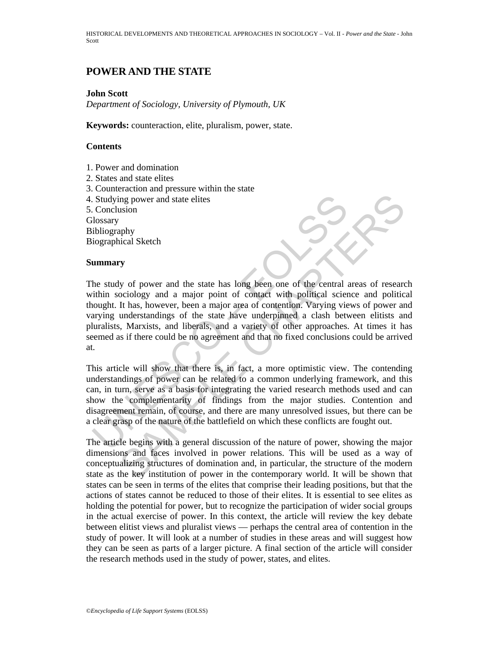HISTORICAL DEVELOPMENTS AND THEORETICAL APPROACHES IN SOCIOLOGY – Vol. II - *Power and the State* - John Scott

## **POWER AND THE STATE**

#### **John Scott**

*Department of Sociology, University of Plymouth, UK* 

**Keywords:** counteraction, elite, pluralism, power, state.

### **Contents**

- 1. Power and domination
- 2. States and state elites
- 3. Counteraction and pressure within the state
- 4. Studying power and state elites
- 5. Conclusion

**Glossary** 

Bibliography

Biographical Sketch

#### **Summary**

Studying power and state elites<br>
US Conclusion<br>
US Conclusion<br>
Usilography<br>
Usigraphy<br>
Usigraphy<br>
Usigraphy<br>
Usigraphy<br>
Usigraphy<br>
Usigraphy<br>
Usigraphy<br>
Usigraphy<br>
Usigraphy<br>
Usigraphy<br>
Usigraphy<br>
Usigraphy<br>
Usigraphy<br>
Usi may power and state elites<br>
assion<br>
hphy<br>
hphy<br>
hphy<br>
hphy<br>
heical Sketch<br>
y<br>
y of power and the state has long been one of the central areas of researc<br>
occiology and a major point of contact with political science and po The study of power and the state has long been one of the central areas of research within sociology and a major point of contact with political science and political thought. It has, however, been a major area of contention. Varying views of power and varying understandings of the state have underpinned a clash between elitists and pluralists, Marxists, and liberals, and a variety of other approaches. At times it has seemed as if there could be no agreement and that no fixed conclusions could be arrived at.

This article will show that there is, in fact, a more optimistic view. The contending understandings of power can be related to a common underlying framework, and this can, in turn, serve as a basis for integrating the varied research methods used and can show the complementarity of findings from the major studies. Contention and disagreement remain, of course, and there are many unresolved issues, but there can be a clear grasp of the nature of the battlefield on which these conflicts are fought out.

The article begins with a general discussion of the nature of power, showing the major dimensions and faces involved in power relations. This will be used as a way of conceptualizing structures of domination and, in particular, the structure of the modern state as the key institution of power in the contemporary world. It will be shown that states can be seen in terms of the elites that comprise their leading positions, but that the actions of states cannot be reduced to those of their elites. It is essential to see elites as holding the potential for power, but to recognize the participation of wider social groups in the actual exercise of power. In this context, the article will review the key debate between elitist views and pluralist views — perhaps the central area of contention in the study of power. It will look at a number of studies in these areas and will suggest how they can be seen as parts of a larger picture. A final section of the article will consider the research methods used in the study of power, states, and elites.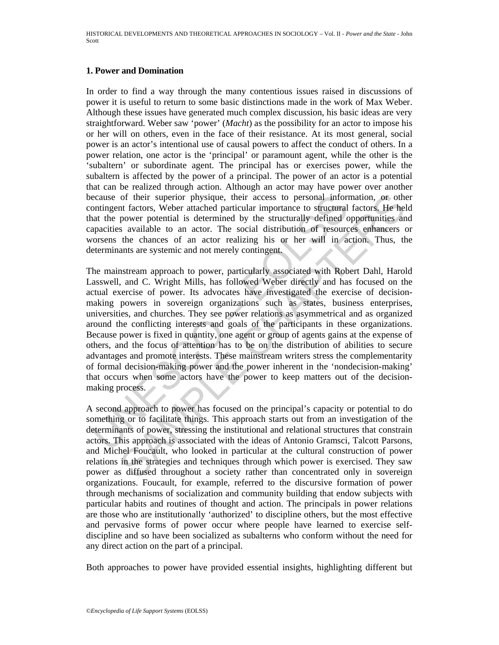## **1. Power and Domination**

In order to find a way through the many contentious issues raised in discussions of power it is useful to return to some basic distinctions made in the work of Max Weber. Although these issues have generated much complex discussion, his basic ideas are very straightforward. Weber saw 'power' (*Macht*) as the possibility for an actor to impose his or her will on others, even in the face of their resistance. At its most general, social power is an actor's intentional use of causal powers to affect the conduct of others. In a power relation, one actor is the 'principal' or paramount agent, while the other is the 'subaltern' or subordinate agent. The principal has or exercises power, while the subaltern is affected by the power of a principal. The power of an actor is a potential that can be realized through action. Although an actor may have power over another because of their superior physique, their access to personal information, or other contingent factors, Weber attached particular importance to structural factors. He held that the power potential is determined by the structurally defined opportunities and capacities available to an actor. The social distribution of resources enhancers or worsens the chances of an actor realizing his or her will in action. Thus, the determinants are systemic and not merely contingent.

ecause of their superior physique, their access to personal inform<br>contingent factors, Weber attached particular importance to structural<br>at the power potential is determined by the structurally defined c<br>apacities availab of their superior physique, their access to personal information, or other access to personal information, or other access procedural factors. He held prover potential is determined by the structurally defined opportunitie The mainstream approach to power, particularly associated with Robert Dahl, Harold Lasswell, and C. Wright Mills, has followed Weber directly and has focused on the actual exercise of power. Its advocates have investigated the exercise of decisionmaking powers in sovereign organizations such as states, business enterprises, universities, and churches. They see power relations as asymmetrical and as organized around the conflicting interests and goals of the participants in these organizations. Because power is fixed in quantity, one agent or group of agents gains at the expense of others, and the focus of attention has to be on the distribution of abilities to secure advantages and promote interests. These mainstream writers stress the complementarity of formal decision-making power and the power inherent in the 'nondecision-making' that occurs when some actors have the power to keep matters out of the decisionmaking process.

A second approach to power has focused on the principal's capacity or potential to do something or to facilitate things. This approach starts out from an investigation of the determinants of power, stressing the institutional and relational structures that constrain actors. This approach is associated with the ideas of Antonio Gramsci, Talcott Parsons, and Michel Foucault, who looked in particular at the cultural construction of power relations in the strategies and techniques through which power is exercised. They saw power as diffused throughout a society rather than concentrated only in sovereign organizations. Foucault, for example, referred to the discursive formation of power through mechanisms of socialization and community building that endow subjects with particular habits and routines of thought and action. The principals in power relations are those who are institutionally 'authorized' to discipline others, but the most effective and pervasive forms of power occur where people have learned to exercise selfdiscipline and so have been socialized as subalterns who conform without the need for any direct action on the part of a principal.

Both approaches to power have provided essential insights, highlighting different but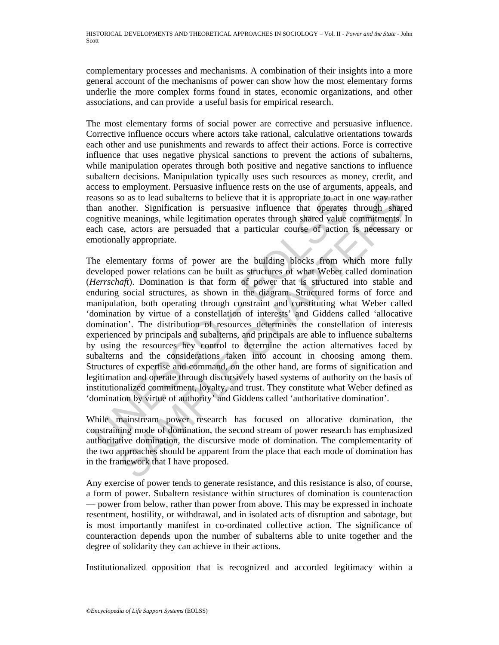complementary processes and mechanisms. A combination of their insights into a more general account of the mechanisms of power can show how the most elementary forms underlie the more complex forms found in states, economic organizations, and other associations, and can provide a useful basis for empirical research.

The most elementary forms of social power are corrective and persuasive influence. Corrective influence occurs where actors take rational, calculative orientations towards each other and use punishments and rewards to affect their actions. Force is corrective influence that uses negative physical sanctions to prevent the actions of subalterns, while manipulation operates through both positive and negative sanctions to influence subaltern decisions. Manipulation typically uses such resources as money, credit, and access to employment. Persuasive influence rests on the use of arguments, appeals, and reasons so as to lead subalterns to believe that it is appropriate to act in one way rather than another. Signification is persuasive influence that operates through shared cognitive meanings, while legitimation operates through shared value commitments. In each case, actors are persuaded that a particular course of action is necessary or emotionally appropriate.

assons so as to lead subalterns to believe that it is appropriate to act i<br>an another. Signification is persuasive influence that operates<br>ognitive meanings, while legitimation operates through shared value<br>ach case, actor ion is to lead subalterns to believe that it is appropriate to act in one way rather. Signification is persuasive influence that operates through shared manimums, while legitimation operates through shared value commitment The elementary forms of power are the building blocks from which more fully developed power relations can be built as structures of what Weber called domination (*Herrschaft*). Domination is that form of power that is structured into stable and enduring social structures, as shown in the diagram. Structured forms of force and manipulation, both operating through constraint and constituting what Weber called 'domination by virtue of a constellation of interests' and Giddens called 'allocative domination'. The distribution of resources determines the constellation of interests experienced by principals and subalterns, and principals are able to influence subalterns by using the resources hey control to determine the action alternatives faced by subalterns and the considerations taken into account in choosing among them. Structures of expertise and command, on the other hand, are forms of signification and legitimation and operate through discursively based systems of authority on the basis of institutionalized commitment, loyalty, and trust. They constitute what Weber defined as 'domination by virtue of authority' and Giddens called 'authoritative domination'.

While mainstream power research has focused on allocative domination, the constraining mode of domination, the second stream of power research has emphasized authoritative domination, the discursive mode of domination. The complementarity of the two approaches should be apparent from the place that each mode of domination has in the framework that I have proposed.

Any exercise of power tends to generate resistance, and this resistance is also, of course, a form of power. Subaltern resistance within structures of domination is counteraction — power from below, rather than power from above. This may be expressed in inchoate resentment, hostility, or withdrawal, and in isolated acts of disruption and sabotage, but is most importantly manifest in co-ordinated collective action. The significance of counteraction depends upon the number of subalterns able to unite together and the degree of solidarity they can achieve in their actions.

Institutionalized opposition that is recognized and accorded legitimacy within a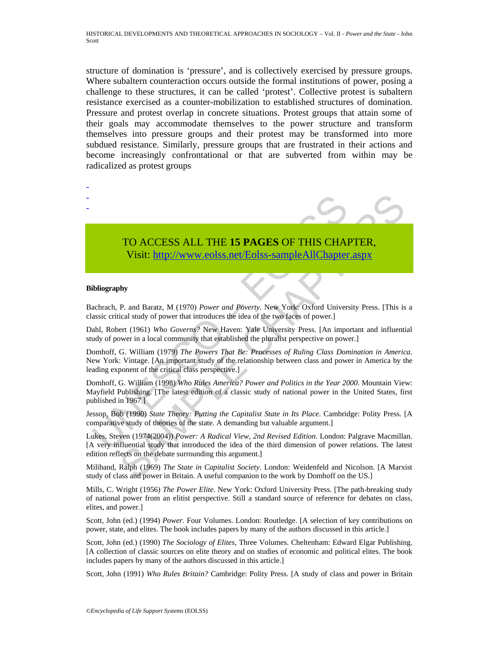structure of domination is 'pressure', and is collectively exercised by pressure groups. Where subaltern counteraction occurs outside the formal institutions of power, posing a challenge to these structures, it can be called 'protest'. Collective protest is subaltern resistance exercised as a counter-mobilization to established structures of domination. Pressure and protest overlap in concrete situations. Protest groups that attain some of their goals may accommodate themselves to the power structure and transform themselves into pressure groups and their protest may be transformed into more subdued resistance. Similarly, pressure groups that are frustrated in their actions and become increasingly confrontational or that are subverted from within may be radicalized as protest groups

# TO ACCESS ALL THE **15 PAGES** OF THIS CHAPTER,

Visit: http://www.eolss.net/Eolss-sampleAllChapter.aspx

#### **Bibliography**

- - -

Bachrach, P. and Baratz, M (1970) *Power and Poverty*. New York: Oxford University Press. [This is a classic critical study of power that introduces the idea of the two faces of power.]

Dahl, Robert (1961) *Who Governs?* New Haven: Yale University Press. [An important and influential study of power in a local community that established the pluralist perspective on power.]

TO ACCESS ALL THE 15 PAGES OF THIS CHAIN Visit: http://www.colss.net/Eolss-sampleAllChapter<br>
biliography<br>
achrach, P. and Baratz, M (1970) *Power and Poverty*. New York: Oxford Univers<br>
achrach, P. and Baratz, M (1970) *Po* **TO ACCESS ALL THE 15 PAGES OF THIS CHA[PTER](https://www.eolss.net/ebooklib/sc_cart.aspx?File=E6-99A-19),**<br>
Visit: http://www.eolss.net/Eolss-sample All Chapter.aspx<br>
thy<br>
P. and Baratz, M (1970) *Power and Poverty*. New York: Oxford University Press. [This is<br>
eta (1961) *Who Gove* Domhoff, G. William (1979) *The Powers That Be: Processes of Ruling Class Domination in America*. New York: Vintage. [An important study of the relationship between class and power in America by the leading exponent of the critical class perspective.]

Domhoff, G. William (1998) *Who Rules America? Power and Politics in the Year 2000*. Mountain View: Mayfield Publishing. [The latest edition of a classic study of national power in the United States, first published in 1967.]

Jessop, Bob (1990) *State Theory: Putting the Capitalist State in Its Place*. Cambridge: Polity Press. [A comparative study of theories of the state. A demanding but valuable argument.]

Lukes, Steven (1974(2004)) *Power: A Radical View, 2nd Revised Edition*. London: Palgrave Macmillan. [A very influential study that introduced the idea of the third dimension of power relations. The latest edition reflects on the debate surrounding this argument.]

Miliband, Ralph (1969) *The State in Capitalist Society*. London: Weidenfeld and Nicolson. [A Marxist study of class and power in Britain. A useful companion to the work by Domhoff on the US.]

Mills, C. Wright (1956) *The Power Elite*. New York: Oxford University Press. [The path-breaking study of national power from an elitist perspective. Still a standard source of reference for debates on class, elites, and power.]

Scott, John (ed.) (1994) *Power*. Four Volumes. London: Routledge. [A selection of key contributions on power, state, and elites. The book includes papers by many of the authors discussed in this article.]

Scott, John (ed.) (1990) *The Sociology of Elites,* Three Volumes. Cheltenham: Edward Elgar Publishing. [A collection of classic sources on elite theory and on studies of economic and political elites. The book includes papers by many of the authors discussed in this article.]

Scott, John (1991) *Who Rules Britain?* Cambridge: Polity Press. [A study of class and power in Britain